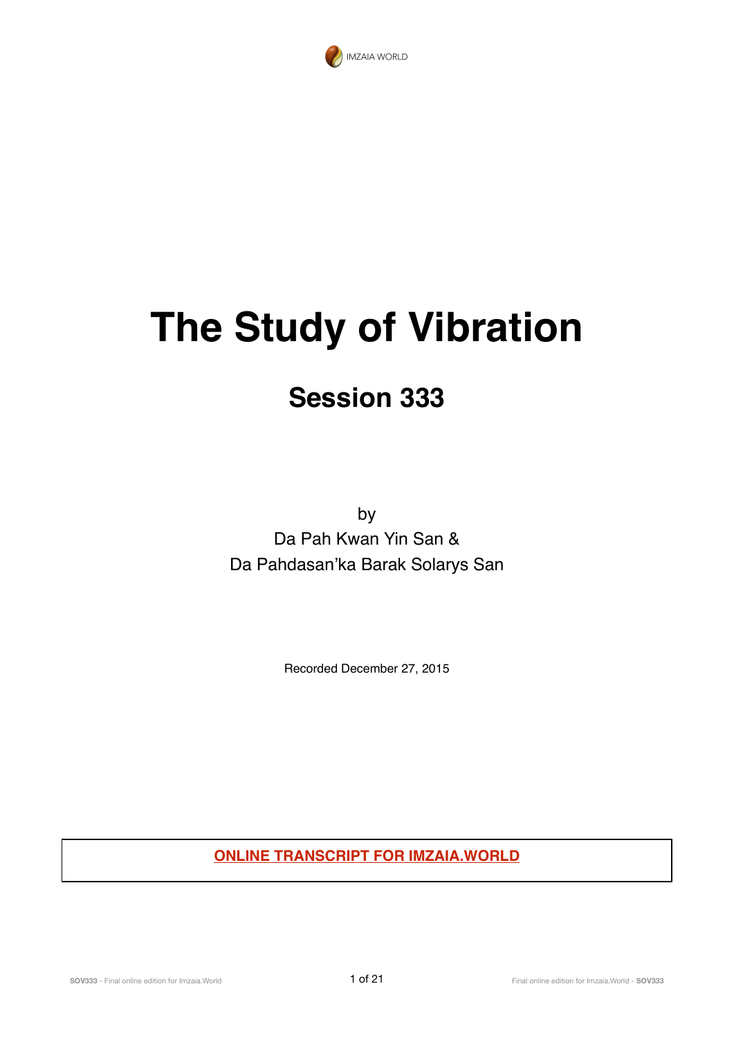

# **The Study of Vibration**

## **Session 333**

by Da Pah Kwan Yin San & Da Pahdasan'ka Barak Solarys San

Recorded December 27, 2015

**ONLINE TRANSCRIPT FOR IMZAIA.WORLD**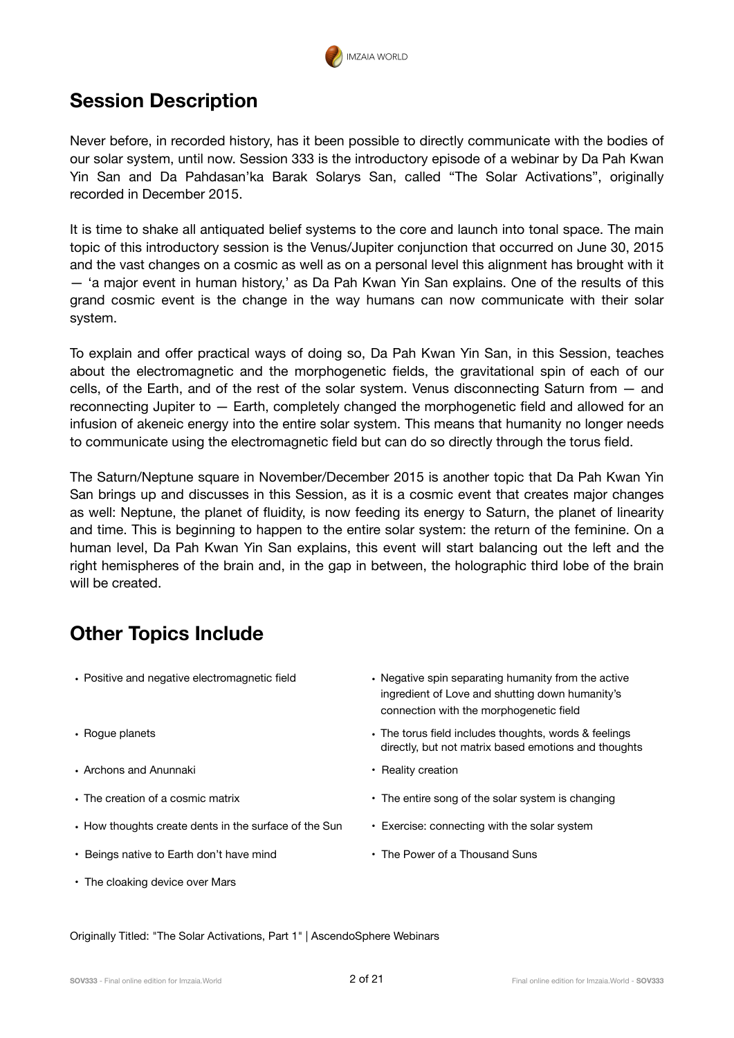

## **Session Description**

Never before, in recorded history, has it been possible to directly communicate with the bodies of our solar system, until now. Session 333 is the introductory episode of a webinar by Da Pah Kwan Yin San and Da Pahdasan'ka Barak Solarys San, called "The Solar Activations", originally recorded in December 2015.

It is time to shake all antiquated belief systems to the core and launch into tonal space. The main topic of this introductory session is the Venus/Jupiter conjunction that occurred on June 30, 2015 and the vast changes on a cosmic as well as on a personal level this alignment has brought with it — 'a major event in human history,' as Da Pah Kwan Yin San explains. One of the results of this grand cosmic event is the change in the way humans can now communicate with their solar system.

To explain and offer practical ways of doing so, Da Pah Kwan Yin San, in this Session, teaches about the electromagnetic and the morphogenetic fields, the gravitational spin of each of our cells, of the Earth, and of the rest of the solar system. Venus disconnecting Saturn from — and reconnecting Jupiter to — Earth, completely changed the morphogenetic field and allowed for an infusion of akeneic energy into the entire solar system. This means that humanity no longer needs to communicate using the electromagnetic field but can do so directly through the torus field.

The Saturn/Neptune square in November/December 2015 is another topic that Da Pah Kwan Yin San brings up and discusses in this Session, as it is a cosmic event that creates major changes as well: Neptune, the planet of fluidity, is now feeding its energy to Saturn, the planet of linearity and time. This is beginning to happen to the entire solar system: the return of the feminine. On a human level, Da Pah Kwan Yin San explains, this event will start balancing out the left and the right hemispheres of the brain and, in the gap in between, the holographic third lobe of the brain will be created.

## **Other Topics Include**

- 
- 
- Archons and Anunnaki **Reality creation Reality creation**
- 
- How thoughts create dents in the surface of the Sun Exercise: connecting with the solar system
- Beings native to Earth don't have mind **•** The Power of a Thousand Suns
- The cloaking device over Mars
- Positive and negative electromagnetic field **•** Negative spin separating humanity from the active ingredient of Love and shutting down humanity's connection with the morphogenetic field
- Rogue planets The torus field includes thoughts, words & feelings directly, but not matrix based emotions and thoughts
	-
- The creation of a cosmic matrix  **The entire song of the solar system is changing** 
	-
	-

Originally Titled: "The Solar Activations, Part 1" | AscendoSphere Webinars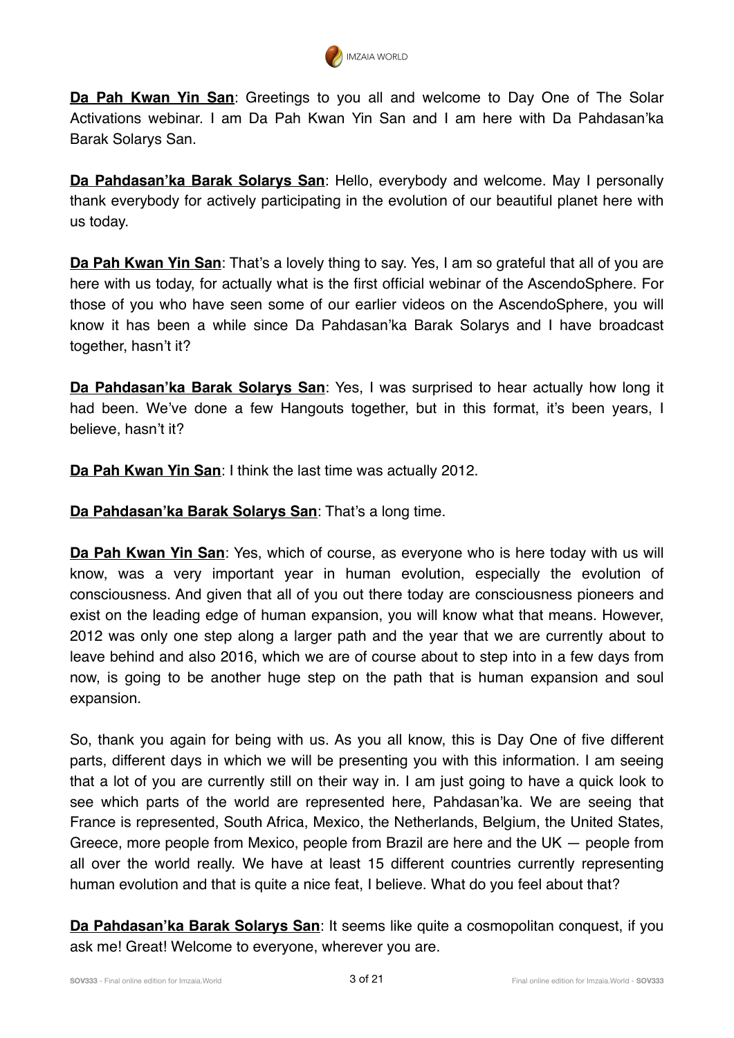

**Da Pah Kwan Yin San**: Greetings to you all and welcome to Day One of The Solar Activations webinar. I am Da Pah Kwan Yin San and I am here with Da Pahdasan'ka Barak Solarys San.

**Da Pahdasan'ka Barak Solarys San**: Hello, everybody and welcome. May I personally thank everybody for actively participating in the evolution of our beautiful planet here with us today.

**Da Pah Kwan Yin San**: That's a lovely thing to say. Yes, I am so grateful that all of you are here with us today, for actually what is the first official webinar of the AscendoSphere. For those of you who have seen some of our earlier videos on the AscendoSphere, you will know it has been a while since Da Pahdasan'ka Barak Solarys and I have broadcast together, hasn't it?

**Da Pahdasan'ka Barak Solarys San**: Yes, I was surprised to hear actually how long it had been. We've done a few Hangouts together, but in this format, it's been years, I believe, hasn't it?

**Da Pah Kwan Yin San**: I think the last time was actually 2012.

**Da Pahdasan'ka Barak Solarys San**: That's a long time.

**Da Pah Kwan Yin San**: Yes, which of course, as everyone who is here today with us will know, was a very important year in human evolution, especially the evolution of consciousness. And given that all of you out there today are consciousness pioneers and exist on the leading edge of human expansion, you will know what that means. However, 2012 was only one step along a larger path and the year that we are currently about to leave behind and also 2016, which we are of course about to step into in a few days from now, is going to be another huge step on the path that is human expansion and soul expansion.

So, thank you again for being with us. As you all know, this is Day One of five different parts, different days in which we will be presenting you with this information. I am seeing that a lot of you are currently still on their way in. I am just going to have a quick look to see which parts of the world are represented here, Pahdasan'ka. We are seeing that France is represented, South Africa, Mexico, the Netherlands, Belgium, the United States, Greece, more people from Mexico, people from Brazil are here and the UK — people from all over the world really. We have at least 15 different countries currently representing human evolution and that is quite a nice feat, I believe. What do you feel about that?

**Da Pahdasan'ka Barak Solarys San**: It seems like quite a cosmopolitan conquest, if you ask me! Great! Welcome to everyone, wherever you are.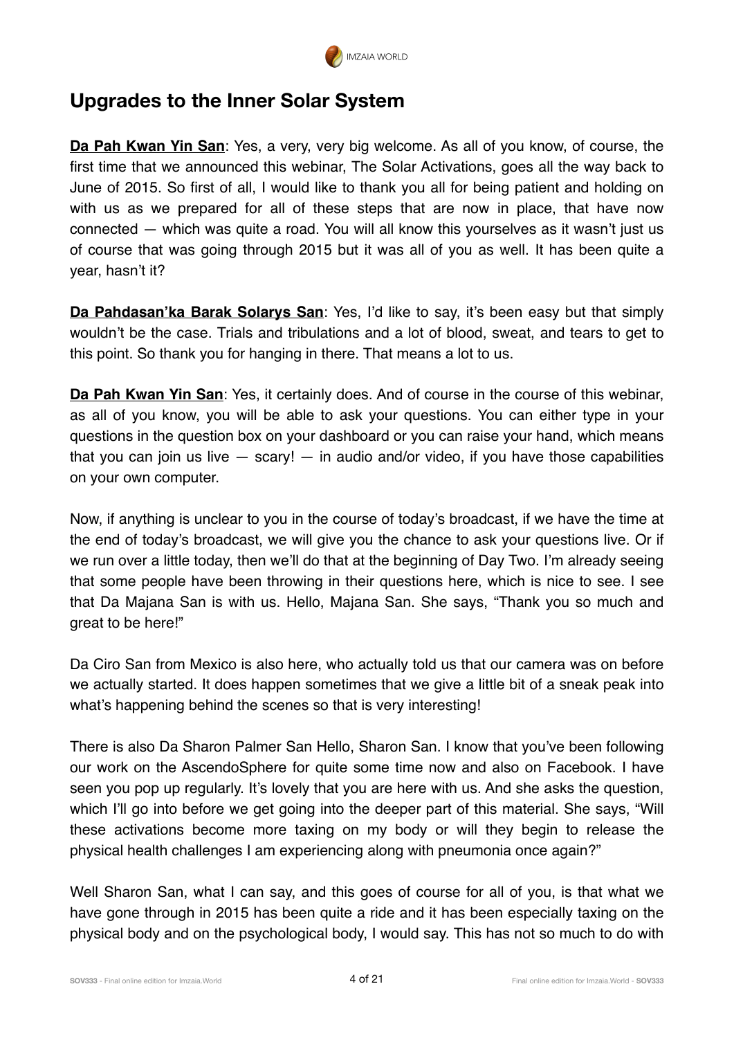

## **Upgrades to the Inner Solar System**

**Da Pah Kwan Yin San**: Yes, a very, very big welcome. As all of you know, of course, the first time that we announced this webinar, The Solar Activations, goes all the way back to June of 2015. So first of all, I would like to thank you all for being patient and holding on with us as we prepared for all of these steps that are now in place, that have now connected — which was quite a road. You will all know this yourselves as it wasn't just us of course that was going through 2015 but it was all of you as well. It has been quite a year, hasn't it?

**Da Pahdasan'ka Barak Solarys San**: Yes, I'd like to say, it's been easy but that simply wouldn't be the case. Trials and tribulations and a lot of blood, sweat, and tears to get to this point. So thank you for hanging in there. That means a lot to us.

**Da Pah Kwan Yin San**: Yes, it certainly does. And of course in the course of this webinar, as all of you know, you will be able to ask your questions. You can either type in your questions in the question box on your dashboard or you can raise your hand, which means that you can join us live  $-$  scary!  $-$  in audio and/or video, if you have those capabilities on your own computer.

Now, if anything is unclear to you in the course of today's broadcast, if we have the time at the end of today's broadcast, we will give you the chance to ask your questions live. Or if we run over a little today, then we'll do that at the beginning of Day Two. I'm already seeing that some people have been throwing in their questions here, which is nice to see. I see that Da Majana San is with us. Hello, Majana San. She says, "Thank you so much and great to be here!"

Da Ciro San from Mexico is also here, who actually told us that our camera was on before we actually started. It does happen sometimes that we give a little bit of a sneak peak into what's happening behind the scenes so that is very interesting!

There is also Da Sharon Palmer San Hello, Sharon San. I know that you've been following our work on the AscendoSphere for quite some time now and also on Facebook. I have seen you pop up regularly. It's lovely that you are here with us. And she asks the question, which I'll go into before we get going into the deeper part of this material. She says, "Will these activations become more taxing on my body or will they begin to release the physical health challenges I am experiencing along with pneumonia once again?"

Well Sharon San, what I can say, and this goes of course for all of you, is that what we have gone through in 2015 has been quite a ride and it has been especially taxing on the physical body and on the psychological body, I would say. This has not so much to do with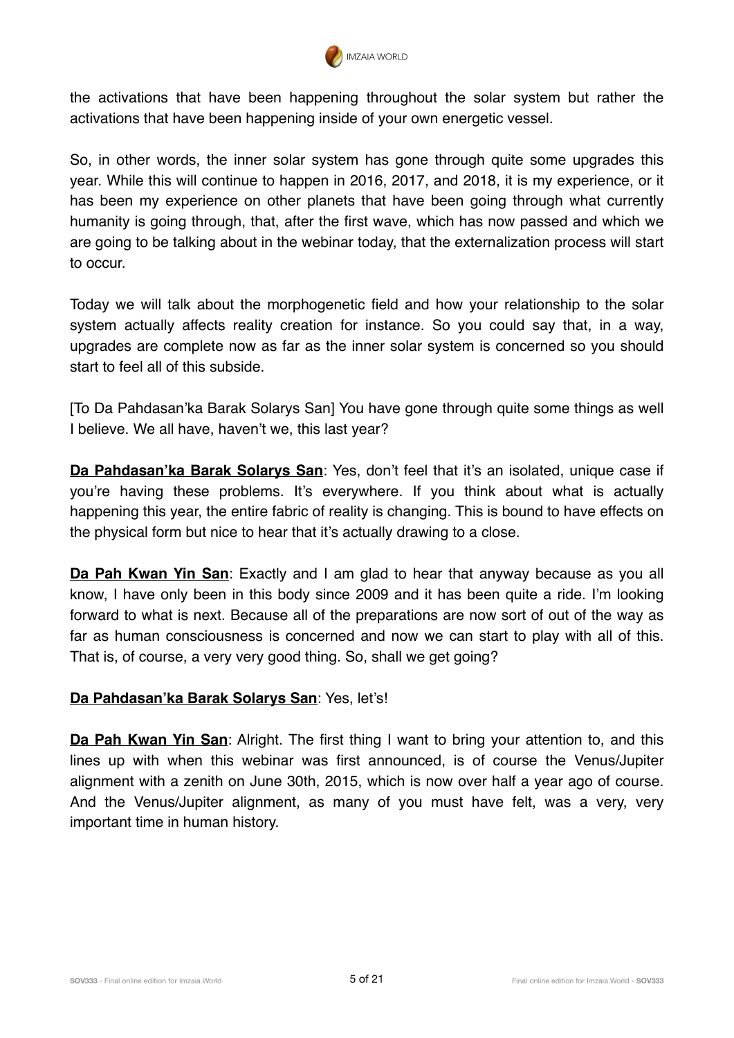

the activations that have been happening throughout the solar system but rather the activations that have been happening inside of your own energetic vessel.

So, in other words, the inner solar system has gone through quite some upgrades this year. While this will continue to happen in 2016, 2017, and 2018, it is my experience, or it has been my experience on other planets that have been going through what currently humanity is going through, that, after the first wave, which has now passed and which we are going to be talking about in the webinar today, that the externalization process will start to occur.

Today we will talk about the morphogenetic field and how your relationship to the solar system actually affects reality creation for instance. So you could say that, in a way, upgrades are complete now as far as the inner solar system is concerned so you should start to feel all of this subside.

[To Da Pahdasan'ka Barak Solarys San] You have gone through quite some things as well I believe. We all have, haven't we, this last year?

**Da Pahdasan'ka Barak Solarys San**: Yes, don't feel that it's an isolated, unique case if you're having these problems. It's everywhere. If you think about what is actually happening this year, the entire fabric of reality is changing. This is bound to have effects on the physical form but nice to hear that it's actually drawing to a close.

**Da Pah Kwan Yin San**: Exactly and I am glad to hear that anyway because as you all know, I have only been in this body since 2009 and it has been quite a ride. I'm looking forward to what is next. Because all of the preparations are now sort of out of the way as far as human consciousness is concerned and now we can start to play with all of this. That is, of course, a very very good thing. So, shall we get going?

#### **Da Pahdasan'ka Barak Solarys San**: Yes, let's!

**Da Pah Kwan Yin San**: Alright. The first thing I want to bring your attention to, and this lines up with when this webinar was first announced, is of course the Venus/Jupiter alignment with a zenith on June 30th, 2015, which is now over half a year ago of course. And the Venus/Jupiter alignment, as many of you must have felt, was a very, very important time in human history.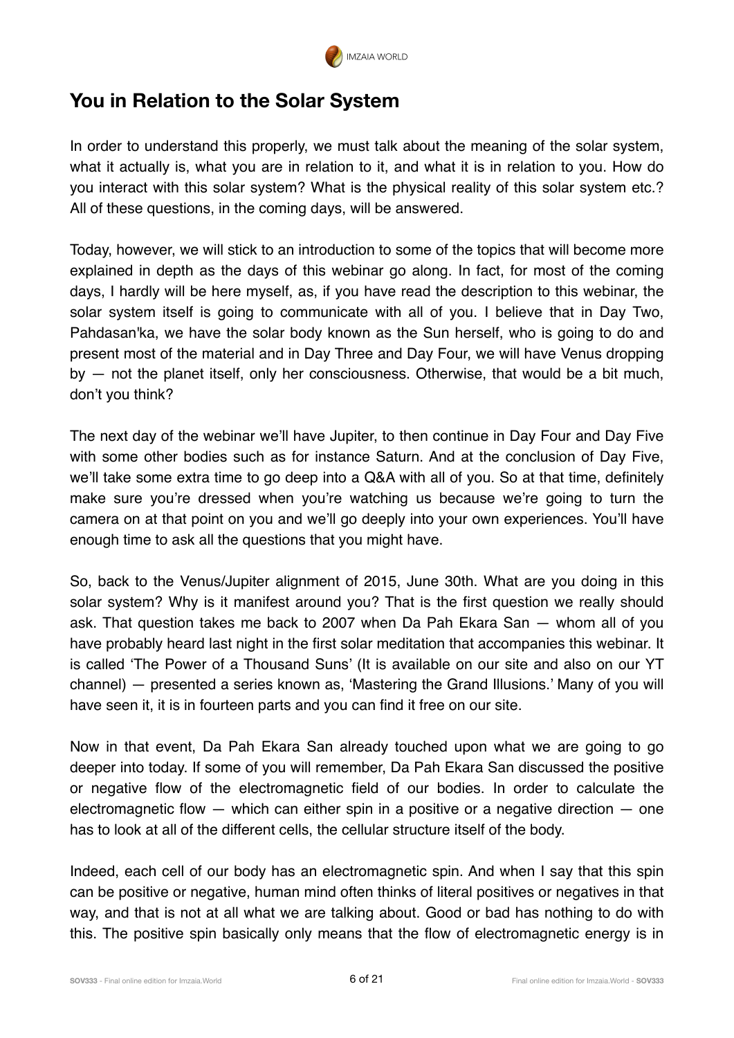

## **You in Relation to the Solar System**

In order to understand this properly, we must talk about the meaning of the solar system, what it actually is, what you are in relation to it, and what it is in relation to you. How do you interact with this solar system? What is the physical reality of this solar system etc.? All of these questions, in the coming days, will be answered.

Today, however, we will stick to an introduction to some of the topics that will become more explained in depth as the days of this webinar go along. In fact, for most of the coming days, I hardly will be here myself, as, if you have read the description to this webinar, the solar system itself is going to communicate with all of you. I believe that in Day Two, Pahdasan'ka, we have the solar body known as the Sun herself, who is going to do and present most of the material and in Day Three and Day Four, we will have Venus dropping by — not the planet itself, only her consciousness. Otherwise, that would be a bit much, don't you think?

The next day of the webinar we'll have Jupiter, to then continue in Day Four and Day Five with some other bodies such as for instance Saturn. And at the conclusion of Day Five, we'll take some extra time to go deep into a Q&A with all of you. So at that time, definitely make sure you're dressed when you're watching us because we're going to turn the camera on at that point on you and we'll go deeply into your own experiences. You'll have enough time to ask all the questions that you might have.

So, back to the Venus/Jupiter alignment of 2015, June 30th. What are you doing in this solar system? Why is it manifest around you? That is the first question we really should ask. That question takes me back to 2007 when Da Pah Ekara San — whom all of you have probably heard last night in the first solar meditation that accompanies this webinar. It is called 'The Power of a Thousand Suns' (It is available on our site and also on our YT channel) — presented a series known as, 'Mastering the Grand Illusions.' Many of you will have seen it, it is in fourteen parts and you can find it free on our site.

Now in that event, Da Pah Ekara San already touched upon what we are going to go deeper into today. If some of you will remember, Da Pah Ekara San discussed the positive or negative flow of the electromagnetic field of our bodies. In order to calculate the electromagnetic flow — which can either spin in a positive or a negative direction — one has to look at all of the different cells, the cellular structure itself of the body.

Indeed, each cell of our body has an electromagnetic spin. And when I say that this spin can be positive or negative, human mind often thinks of literal positives or negatives in that way, and that is not at all what we are talking about. Good or bad has nothing to do with this. The positive spin basically only means that the flow of electromagnetic energy is in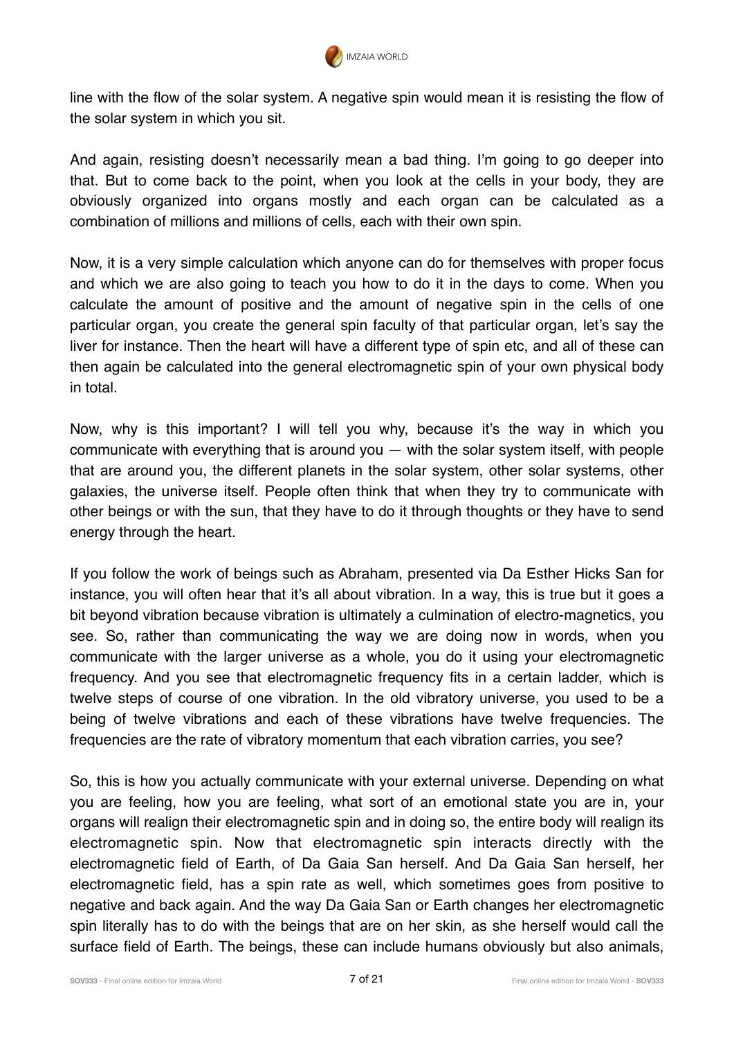

line with the flow of the solar system. A negative spin would mean it is resisting the flow of the solar system in which you sit.

And again, resisting doesn't necessarily mean a bad thing. I'm going to go deeper into that. But to come back to the point, when you look at the cells in your body, they are obviously organized into organs mostly and each organ can be calculated as a combination of millions and millions of cells, each with their own spin.

Now, it is a very simple calculation which anyone can do for themselves with proper focus and which we are also going to teach you how to do it in the days to come. When you calculate the amount of positive and the amount of negative spin in the cells of one particular organ, you create the general spin faculty of that particular organ, let's say the liver for instance. Then the heart will have a different type of spin etc, and all of these can then again be calculated into the general electromagnetic spin of your own physical body in total.

Now, why is this important? I will tell you why, because it's the way in which you communicate with everything that is around you — with the solar system itself, with people that are around you, the different planets in the solar system, other solar systems, other galaxies, the universe itself. People often think that when they try to communicate with other beings or with the sun, that they have to do it through thoughts or they have to send energy through the heart.

If you follow the work of beings such as Abraham, presented via Da Esther Hicks San for instance, you will often hear that it's all about vibration. In a way, this is true but it goes a bit beyond vibration because vibration is ultimately a culmination of electro-magnetics, you see. So, rather than communicating the way we are doing now in words, when you communicate with the larger universe as a whole, you do it using your electromagnetic frequency. And you see that electromagnetic frequency fits in a certain ladder, which is twelve steps of course of one vibration. In the old vibratory universe, you used to be a being of twelve vibrations and each of these vibrations have twelve frequencies. The frequencies are the rate of vibratory momentum that each vibration carries, you see?

So, this is how you actually communicate with your external universe. Depending on what you are feeling, how you are feeling, what sort of an emotional state you are in, your organs will realign their electromagnetic spin and in doing so, the entire body will realign its electromagnetic spin. Now that electromagnetic spin interacts directly with the electromagnetic field of Earth, of Da Gaia San herself. And Da Gaia San herself, her electromagnetic field, has a spin rate as well, which sometimes goes from positive to negative and back again. And the way Da Gaia San or Earth changes her electromagnetic spin literally has to do with the beings that are on her skin, as she herself would call the surface field of Earth. The beings, these can include humans obviously but also animals,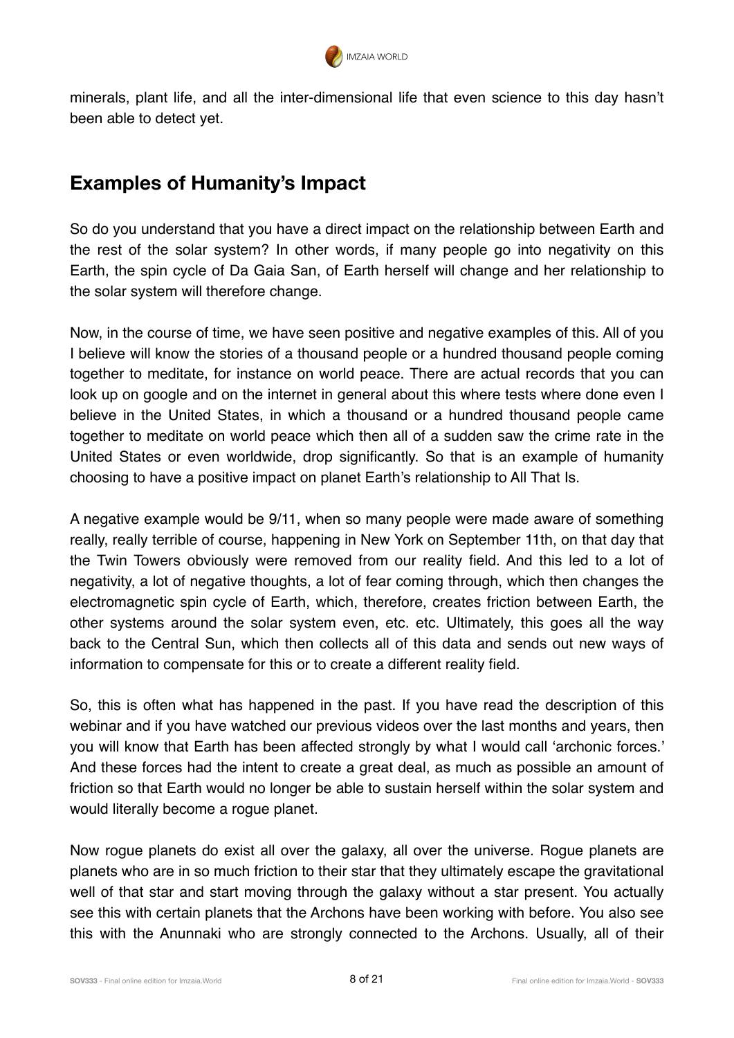

minerals, plant life, and all the inter-dimensional life that even science to this day hasn't been able to detect yet.

## **Examples of Humanity's Impact**

So do you understand that you have a direct impact on the relationship between Earth and the rest of the solar system? In other words, if many people go into negativity on this Earth, the spin cycle of Da Gaia San, of Earth herself will change and her relationship to the solar system will therefore change.

Now, in the course of time, we have seen positive and negative examples of this. All of you I believe will know the stories of a thousand people or a hundred thousand people coming together to meditate, for instance on world peace. There are actual records that you can look up on google and on the internet in general about this where tests where done even I believe in the United States, in which a thousand or a hundred thousand people came together to meditate on world peace which then all of a sudden saw the crime rate in the United States or even worldwide, drop significantly. So that is an example of humanity choosing to have a positive impact on planet Earth's relationship to All That Is.

A negative example would be 9/11, when so many people were made aware of something really, really terrible of course, happening in New York on September 11th, on that day that the Twin Towers obviously were removed from our reality field. And this led to a lot of negativity, a lot of negative thoughts, a lot of fear coming through, which then changes the electromagnetic spin cycle of Earth, which, therefore, creates friction between Earth, the other systems around the solar system even, etc. etc. Ultimately, this goes all the way back to the Central Sun, which then collects all of this data and sends out new ways of information to compensate for this or to create a different reality field.

So, this is often what has happened in the past. If you have read the description of this webinar and if you have watched our previous videos over the last months and years, then you will know that Earth has been affected strongly by what I would call 'archonic forces.' And these forces had the intent to create a great deal, as much as possible an amount of friction so that Earth would no longer be able to sustain herself within the solar system and would literally become a rogue planet.

Now rogue planets do exist all over the galaxy, all over the universe. Rogue planets are planets who are in so much friction to their star that they ultimately escape the gravitational well of that star and start moving through the galaxy without a star present. You actually see this with certain planets that the Archons have been working with before. You also see this with the Anunnaki who are strongly connected to the Archons. Usually, all of their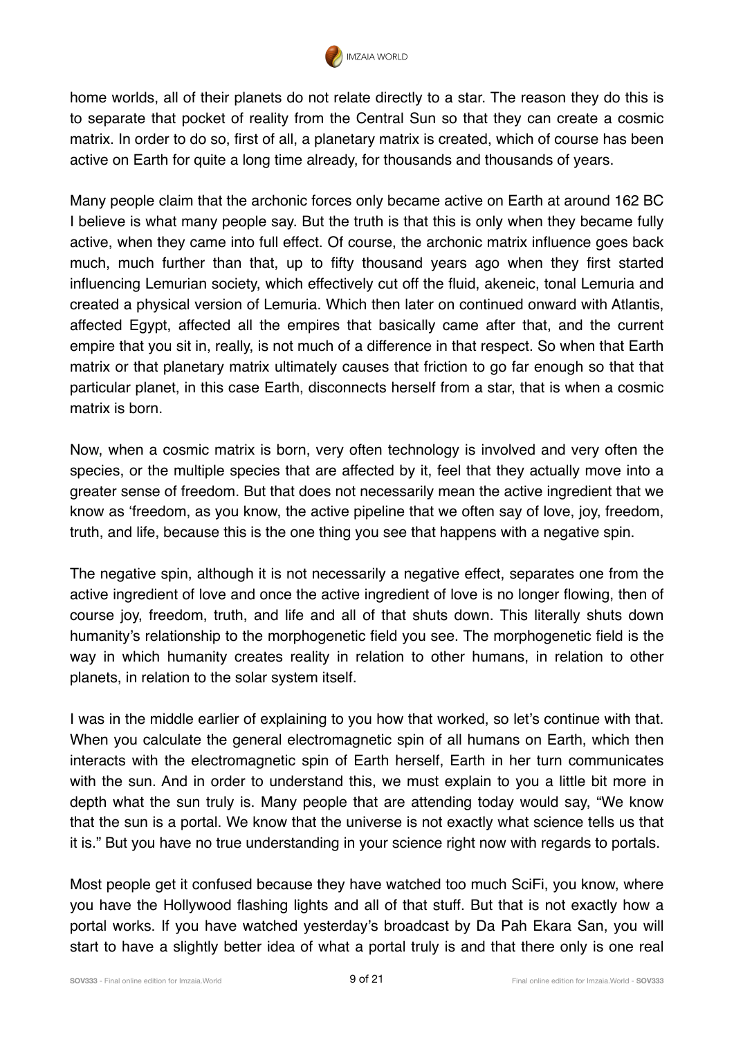

home worlds, all of their planets do not relate directly to a star. The reason they do this is to separate that pocket of reality from the Central Sun so that they can create a cosmic matrix. In order to do so, first of all, a planetary matrix is created, which of course has been active on Earth for quite a long time already, for thousands and thousands of years.

Many people claim that the archonic forces only became active on Earth at around 162 BC I believe is what many people say. But the truth is that this is only when they became fully active, when they came into full effect. Of course, the archonic matrix influence goes back much, much further than that, up to fifty thousand years ago when they first started influencing Lemurian society, which effectively cut off the fluid, akeneic, tonal Lemuria and created a physical version of Lemuria. Which then later on continued onward with Atlantis, affected Egypt, affected all the empires that basically came after that, and the current empire that you sit in, really, is not much of a difference in that respect. So when that Earth matrix or that planetary matrix ultimately causes that friction to go far enough so that that particular planet, in this case Earth, disconnects herself from a star, that is when a cosmic matrix is born.

Now, when a cosmic matrix is born, very often technology is involved and very often the species, or the multiple species that are affected by it, feel that they actually move into a greater sense of freedom. But that does not necessarily mean the active ingredient that we know as 'freedom, as you know, the active pipeline that we often say of love, joy, freedom, truth, and life, because this is the one thing you see that happens with a negative spin.

The negative spin, although it is not necessarily a negative effect, separates one from the active ingredient of love and once the active ingredient of love is no longer flowing, then of course joy, freedom, truth, and life and all of that shuts down. This literally shuts down humanity's relationship to the morphogenetic field you see. The morphogenetic field is the way in which humanity creates reality in relation to other humans, in relation to other planets, in relation to the solar system itself.

I was in the middle earlier of explaining to you how that worked, so let's continue with that. When you calculate the general electromagnetic spin of all humans on Earth, which then interacts with the electromagnetic spin of Earth herself, Earth in her turn communicates with the sun. And in order to understand this, we must explain to you a little bit more in depth what the sun truly is. Many people that are attending today would say, "We know that the sun is a portal. We know that the universe is not exactly what science tells us that it is." But you have no true understanding in your science right now with regards to portals.

Most people get it confused because they have watched too much SciFi, you know, where you have the Hollywood flashing lights and all of that stuff. But that is not exactly how a portal works. If you have watched yesterday's broadcast by Da Pah Ekara San, you will start to have a slightly better idea of what a portal truly is and that there only is one real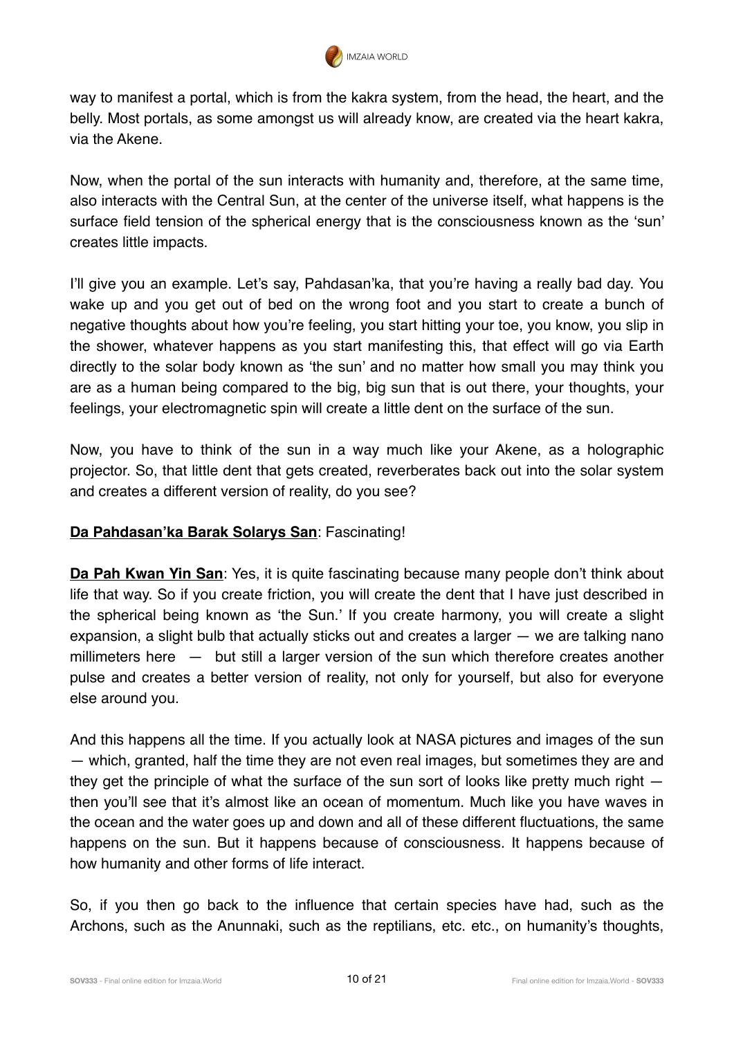

way to manifest a portal, which is from the kakra system, from the head, the heart, and the belly. Most portals, as some amongst us will already know, are created via the heart kakra, via the Akene.

Now, when the portal of the sun interacts with humanity and, therefore, at the same time, also interacts with the Central Sun, at the center of the universe itself, what happens is the surface field tension of the spherical energy that is the consciousness known as the 'sun' creates little impacts.

I'll give you an example. Let's say, Pahdasan'ka, that you're having a really bad day. You wake up and you get out of bed on the wrong foot and you start to create a bunch of negative thoughts about how you're feeling, you start hitting your toe, you know, you slip in the shower, whatever happens as you start manifesting this, that effect will go via Earth directly to the solar body known as 'the sun' and no matter how small you may think you are as a human being compared to the big, big sun that is out there, your thoughts, your feelings, your electromagnetic spin will create a little dent on the surface of the sun.

Now, you have to think of the sun in a way much like your Akene, as a holographic projector. So, that little dent that gets created, reverberates back out into the solar system and creates a different version of reality, do you see?

#### **Da Pahdasan'ka Barak Solarys San**: Fascinating!

**Da Pah Kwan Yin San**: Yes, it is quite fascinating because many people don't think about life that way. So if you create friction, you will create the dent that I have just described in the spherical being known as 'the Sun.' If you create harmony, you will create a slight expansion, a slight bulb that actually sticks out and creates a larger — we are talking nano millimeters here – but still a larger version of the sun which therefore creates another pulse and creates a better version of reality, not only for yourself, but also for everyone else around you.

And this happens all the time. If you actually look at NASA pictures and images of the sun — which, granted, half the time they are not even real images, but sometimes they are and they get the principle of what the surface of the sun sort of looks like pretty much right then you'll see that it's almost like an ocean of momentum. Much like you have waves in the ocean and the water goes up and down and all of these different fluctuations, the same happens on the sun. But it happens because of consciousness. It happens because of how humanity and other forms of life interact.

So, if you then go back to the influence that certain species have had, such as the Archons, such as the Anunnaki, such as the reptilians, etc. etc., on humanity's thoughts,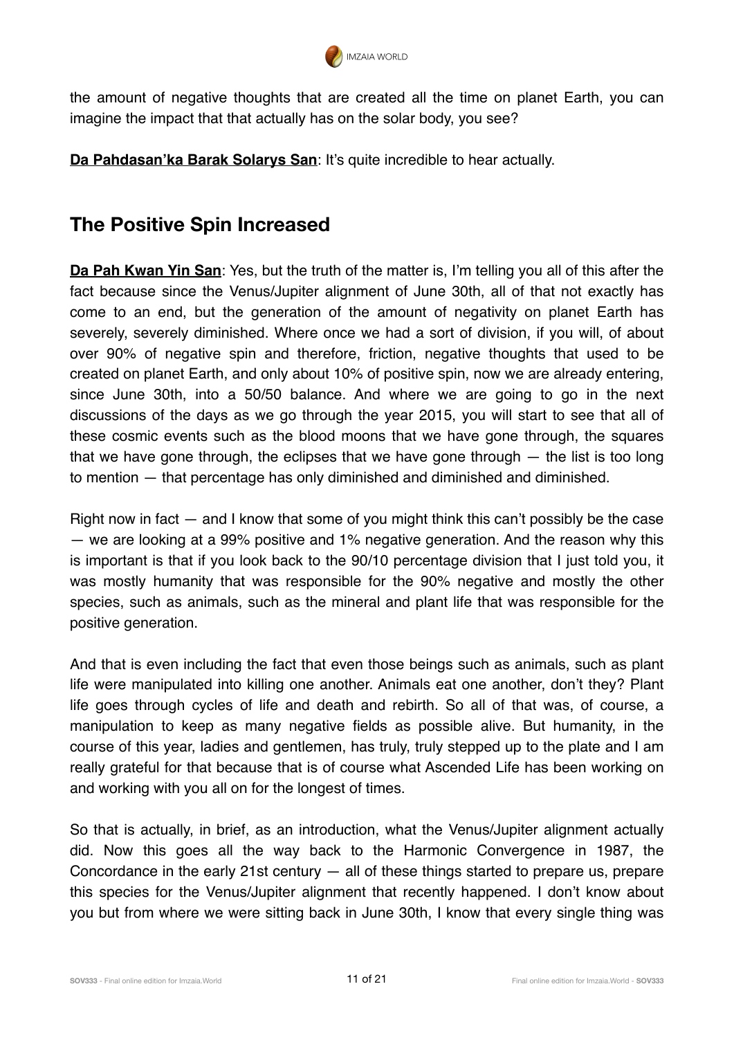

the amount of negative thoughts that are created all the time on planet Earth, you can imagine the impact that that actually has on the solar body, you see?

**Da Pahdasan'ka Barak Solarys San: It's quite incredible to hear actually.** 

## **The Positive Spin Increased**

**Da Pah Kwan Yin San**: Yes, but the truth of the matter is, I'm telling you all of this after the fact because since the Venus/Jupiter alignment of June 30th, all of that not exactly has come to an end, but the generation of the amount of negativity on planet Earth has severely, severely diminished. Where once we had a sort of division, if you will, of about over 90% of negative spin and therefore, friction, negative thoughts that used to be created on planet Earth, and only about 10% of positive spin, now we are already entering, since June 30th, into a 50/50 balance. And where we are going to go in the next discussions of the days as we go through the year 2015, you will start to see that all of these cosmic events such as the blood moons that we have gone through, the squares that we have gone through, the eclipses that we have gone through — the list is too long to mention — that percentage has only diminished and diminished and diminished.

Right now in fact — and I know that some of you might think this can't possibly be the case — we are looking at a 99% positive and 1% negative generation. And the reason why this is important is that if you look back to the 90/10 percentage division that I just told you, it was mostly humanity that was responsible for the 90% negative and mostly the other species, such as animals, such as the mineral and plant life that was responsible for the positive generation.

And that is even including the fact that even those beings such as animals, such as plant life were manipulated into killing one another. Animals eat one another, don't they? Plant life goes through cycles of life and death and rebirth. So all of that was, of course, a manipulation to keep as many negative fields as possible alive. But humanity, in the course of this year, ladies and gentlemen, has truly, truly stepped up to the plate and I am really grateful for that because that is of course what Ascended Life has been working on and working with you all on for the longest of times.

So that is actually, in brief, as an introduction, what the Venus/Jupiter alignment actually did. Now this goes all the way back to the Harmonic Convergence in 1987, the Concordance in the early 21st century  $-$  all of these things started to prepare us, prepare this species for the Venus/Jupiter alignment that recently happened. I don't know about you but from where we were sitting back in June 30th, I know that every single thing was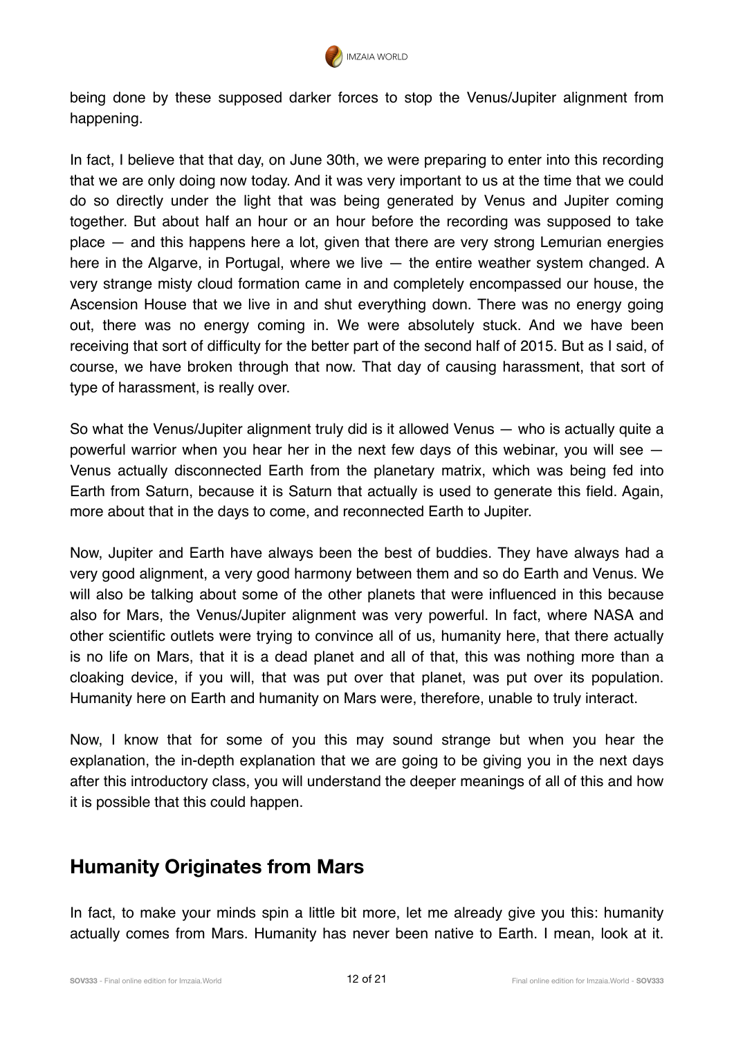

being done by these supposed darker forces to stop the Venus/Jupiter alignment from happening.

In fact, I believe that that day, on June 30th, we were preparing to enter into this recording that we are only doing now today. And it was very important to us at the time that we could do so directly under the light that was being generated by Venus and Jupiter coming together. But about half an hour or an hour before the recording was supposed to take place — and this happens here a lot, given that there are very strong Lemurian energies here in the Algarve, in Portugal, where we live  $-$  the entire weather system changed. A very strange misty cloud formation came in and completely encompassed our house, the Ascension House that we live in and shut everything down. There was no energy going out, there was no energy coming in. We were absolutely stuck. And we have been receiving that sort of difficulty for the better part of the second half of 2015. But as I said, of course, we have broken through that now. That day of causing harassment, that sort of type of harassment, is really over.

So what the Venus/Jupiter alignment truly did is it allowed Venus — who is actually quite a powerful warrior when you hear her in the next few days of this webinar, you will see  $-$ Venus actually disconnected Earth from the planetary matrix, which was being fed into Earth from Saturn, because it is Saturn that actually is used to generate this field. Again, more about that in the days to come, and reconnected Earth to Jupiter.

Now, Jupiter and Earth have always been the best of buddies. They have always had a very good alignment, a very good harmony between them and so do Earth and Venus. We will also be talking about some of the other planets that were influenced in this because also for Mars, the Venus/Jupiter alignment was very powerful. In fact, where NASA and other scientific outlets were trying to convince all of us, humanity here, that there actually is no life on Mars, that it is a dead planet and all of that, this was nothing more than a cloaking device, if you will, that was put over that planet, was put over its population. Humanity here on Earth and humanity on Mars were, therefore, unable to truly interact.

Now, I know that for some of you this may sound strange but when you hear the explanation, the in-depth explanation that we are going to be giving you in the next days after this introductory class, you will understand the deeper meanings of all of this and how it is possible that this could happen.

## **Humanity Originates from Mars**

In fact, to make your minds spin a little bit more, let me already give you this: humanity actually comes from Mars. Humanity has never been native to Earth. I mean, look at it.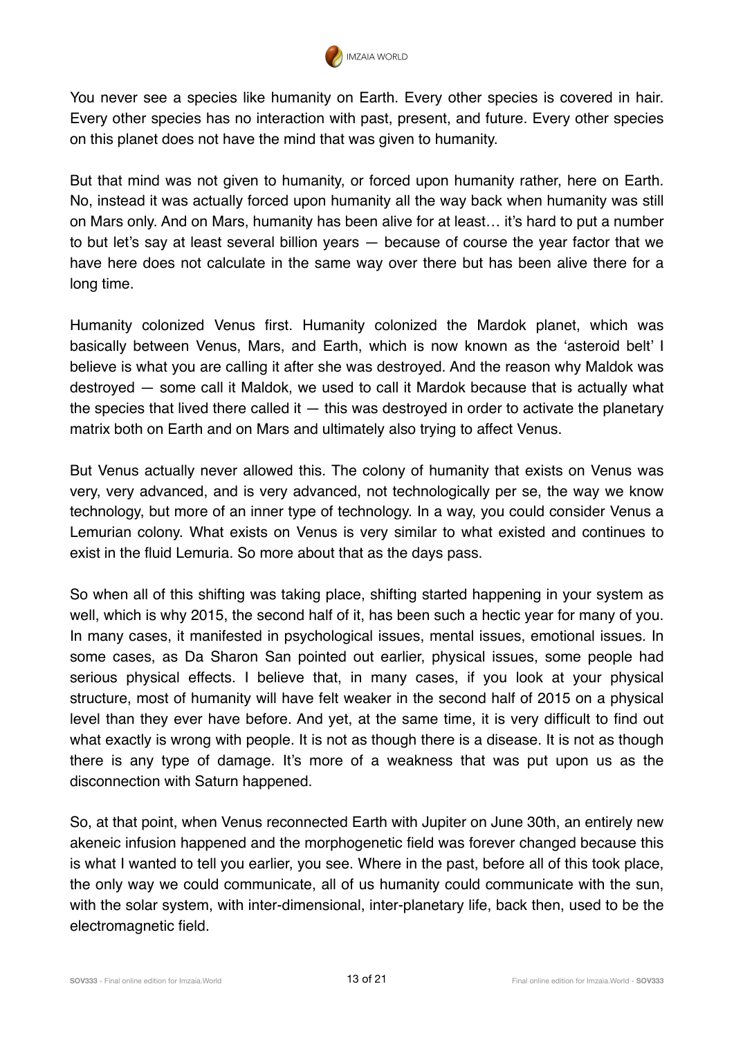

You never see a species like humanity on Earth. Every other species is covered in hair. Every other species has no interaction with past, present, and future. Every other species on this planet does not have the mind that was given to humanity.

But that mind was not given to humanity, or forced upon humanity rather, here on Earth. No, instead it was actually forced upon humanity all the way back when humanity was still on Mars only. And on Mars, humanity has been alive for at least… it's hard to put a number to but let's say at least several billion years — because of course the year factor that we have here does not calculate in the same way over there but has been alive there for a long time.

Humanity colonized Venus first. Humanity colonized the Mardok planet, which was basically between Venus, Mars, and Earth, which is now known as the 'asteroid belt' I believe is what you are calling it after she was destroyed. And the reason why Maldok was destroyed — some call it Maldok, we used to call it Mardok because that is actually what the species that lived there called it  $-$  this was destroyed in order to activate the planetary matrix both on Earth and on Mars and ultimately also trying to affect Venus.

But Venus actually never allowed this. The colony of humanity that exists on Venus was very, very advanced, and is very advanced, not technologically per se, the way we know technology, but more of an inner type of technology. In a way, you could consider Venus a Lemurian colony. What exists on Venus is very similar to what existed and continues to exist in the fluid Lemuria. So more about that as the days pass.

So when all of this shifting was taking place, shifting started happening in your system as well, which is why 2015, the second half of it, has been such a hectic year for many of you. In many cases, it manifested in psychological issues, mental issues, emotional issues. In some cases, as Da Sharon San pointed out earlier, physical issues, some people had serious physical effects. I believe that, in many cases, if you look at your physical structure, most of humanity will have felt weaker in the second half of 2015 on a physical level than they ever have before. And yet, at the same time, it is very difficult to find out what exactly is wrong with people. It is not as though there is a disease. It is not as though there is any type of damage. It's more of a weakness that was put upon us as the disconnection with Saturn happened.

So, at that point, when Venus reconnected Earth with Jupiter on June 30th, an entirely new akeneic infusion happened and the morphogenetic field was forever changed because this is what I wanted to tell you earlier, you see. Where in the past, before all of this took place, the only way we could communicate, all of us humanity could communicate with the sun, with the solar system, with inter-dimensional, inter-planetary life, back then, used to be the electromagnetic field.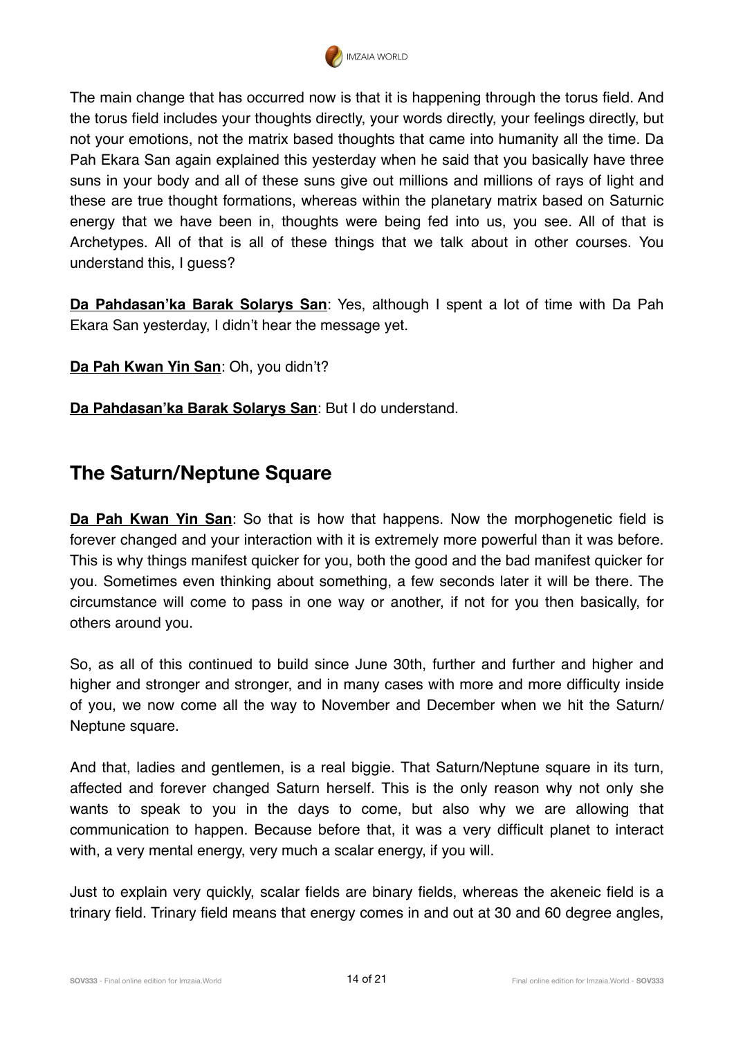

The main change that has occurred now is that it is happening through the torus field. And the torus field includes your thoughts directly, your words directly, your feelings directly, but not your emotions, not the matrix based thoughts that came into humanity all the time. Da Pah Ekara San again explained this yesterday when he said that you basically have three suns in your body and all of these suns give out millions and millions of rays of light and these are true thought formations, whereas within the planetary matrix based on Saturnic energy that we have been in, thoughts were being fed into us, you see. All of that is Archetypes. All of that is all of these things that we talk about in other courses. You understand this, I guess?

**Da Pahdasan'ka Barak Solarys San**: Yes, although I spent a lot of time with Da Pah Ekara San yesterday, I didn't hear the message yet.

**Da Pah Kwan Yin San**: Oh, you didn't?

**Da Pahdasan'ka Barak Solarys San**: But I do understand.

## **The Saturn/Neptune Square**

**Da Pah Kwan Yin San**: So that is how that happens. Now the morphogenetic field is forever changed and your interaction with it is extremely more powerful than it was before. This is why things manifest quicker for you, both the good and the bad manifest quicker for you. Sometimes even thinking about something, a few seconds later it will be there. The circumstance will come to pass in one way or another, if not for you then basically, for others around you.

So, as all of this continued to build since June 30th, further and further and higher and higher and stronger and stronger, and in many cases with more and more difficulty inside of you, we now come all the way to November and December when we hit the Saturn/ Neptune square.

And that, ladies and gentlemen, is a real biggie. That Saturn/Neptune square in its turn, affected and forever changed Saturn herself. This is the only reason why not only she wants to speak to you in the days to come, but also why we are allowing that communication to happen. Because before that, it was a very difficult planet to interact with, a very mental energy, very much a scalar energy, if you will.

Just to explain very quickly, scalar fields are binary fields, whereas the akeneic field is a trinary field. Trinary field means that energy comes in and out at 30 and 60 degree angles,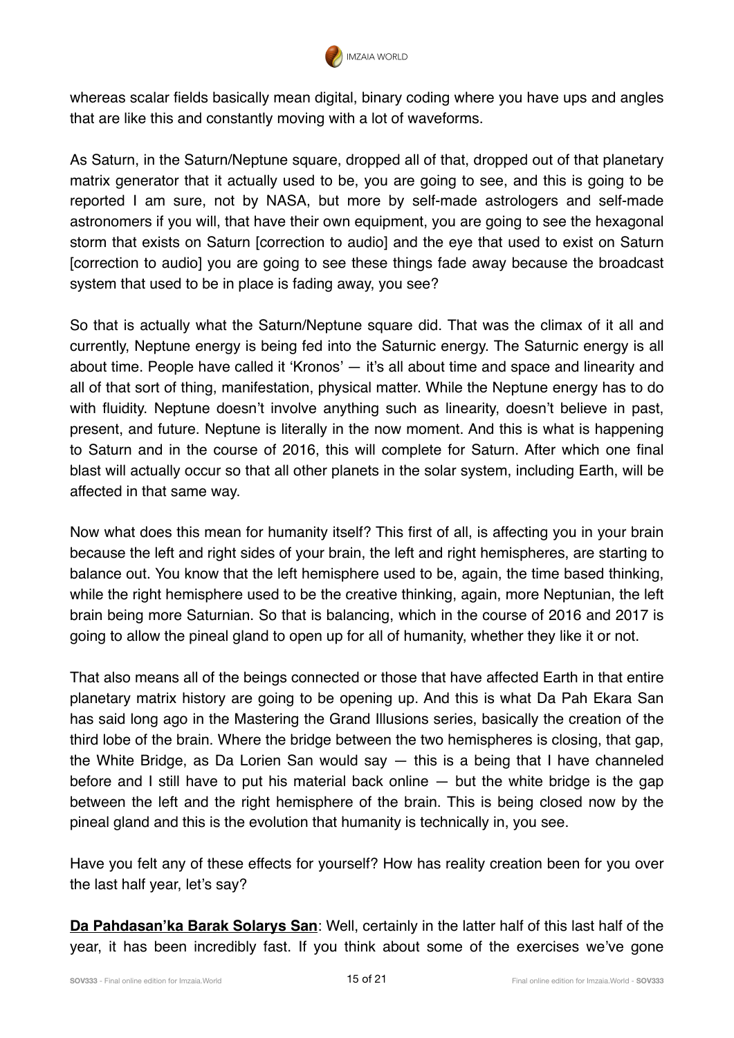

whereas scalar fields basically mean digital, binary coding where you have ups and angles that are like this and constantly moving with a lot of waveforms.

As Saturn, in the Saturn/Neptune square, dropped all of that, dropped out of that planetary matrix generator that it actually used to be, you are going to see, and this is going to be reported I am sure, not by NASA, but more by self-made astrologers and self-made astronomers if you will, that have their own equipment, you are going to see the hexagonal storm that exists on Saturn [correction to audio] and the eye that used to exist on Saturn [correction to audio] you are going to see these things fade away because the broadcast system that used to be in place is fading away, you see?

So that is actually what the Saturn/Neptune square did. That was the climax of it all and currently, Neptune energy is being fed into the Saturnic energy. The Saturnic energy is all about time. People have called it 'Kronos' — it's all about time and space and linearity and all of that sort of thing, manifestation, physical matter. While the Neptune energy has to do with fluidity. Neptune doesn't involve anything such as linearity, doesn't believe in past, present, and future. Neptune is literally in the now moment. And this is what is happening to Saturn and in the course of 2016, this will complete for Saturn. After which one final blast will actually occur so that all other planets in the solar system, including Earth, will be affected in that same way.

Now what does this mean for humanity itself? This first of all, is affecting you in your brain because the left and right sides of your brain, the left and right hemispheres, are starting to balance out. You know that the left hemisphere used to be, again, the time based thinking, while the right hemisphere used to be the creative thinking, again, more Neptunian, the left brain being more Saturnian. So that is balancing, which in the course of 2016 and 2017 is going to allow the pineal gland to open up for all of humanity, whether they like it or not.

That also means all of the beings connected or those that have affected Earth in that entire planetary matrix history are going to be opening up. And this is what Da Pah Ekara San has said long ago in the Mastering the Grand Illusions series, basically the creation of the third lobe of the brain. Where the bridge between the two hemispheres is closing, that gap, the White Bridge, as Da Lorien San would say — this is a being that I have channeled before and I still have to put his material back online  $-$  but the white bridge is the gap between the left and the right hemisphere of the brain. This is being closed now by the pineal gland and this is the evolution that humanity is technically in, you see.

Have you felt any of these effects for yourself? How has reality creation been for you over the last half year, let's say?

**Da Pahdasan'ka Barak Solarys San**: Well, certainly in the latter half of this last half of the year, it has been incredibly fast. If you think about some of the exercises we've gone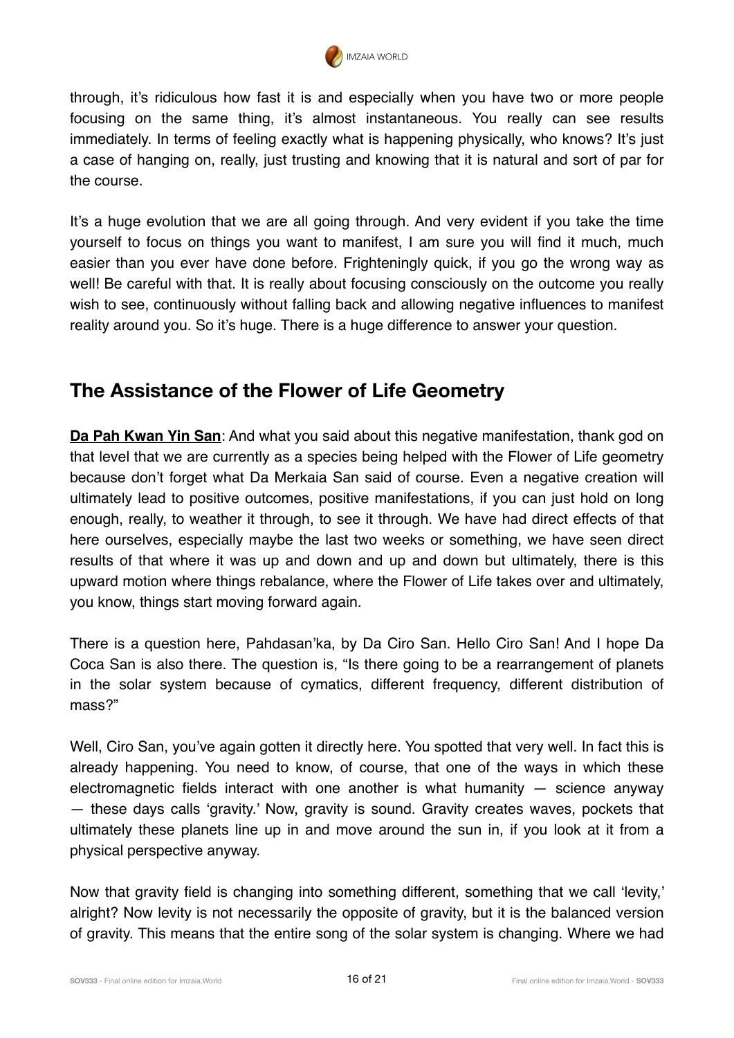

through, it's ridiculous how fast it is and especially when you have two or more people focusing on the same thing, it's almost instantaneous. You really can see results immediately. In terms of feeling exactly what is happening physically, who knows? It's just a case of hanging on, really, just trusting and knowing that it is natural and sort of par for the course.

It's a huge evolution that we are all going through. And very evident if you take the time yourself to focus on things you want to manifest, I am sure you will find it much, much easier than you ever have done before. Frighteningly quick, if you go the wrong way as well! Be careful with that. It is really about focusing consciously on the outcome you really wish to see, continuously without falling back and allowing negative influences to manifest reality around you. So it's huge. There is a huge difference to answer your question.

## **The Assistance of the Flower of Life Geometry**

**Da Pah Kwan Yin San**: And what you said about this negative manifestation, thank god on that level that we are currently as a species being helped with the Flower of Life geometry because don't forget what Da Merkaia San said of course. Even a negative creation will ultimately lead to positive outcomes, positive manifestations, if you can just hold on long enough, really, to weather it through, to see it through. We have had direct effects of that here ourselves, especially maybe the last two weeks or something, we have seen direct results of that where it was up and down and up and down but ultimately, there is this upward motion where things rebalance, where the Flower of Life takes over and ultimately, you know, things start moving forward again.

There is a question here, Pahdasan'ka, by Da Ciro San. Hello Ciro San! And I hope Da Coca San is also there. The question is, "Is there going to be a rearrangement of planets in the solar system because of cymatics, different frequency, different distribution of mass?"

Well, Ciro San, you've again gotten it directly here. You spotted that very well. In fact this is already happening. You need to know, of course, that one of the ways in which these electromagnetic fields interact with one another is what humanity  $-$  science anyway — these days calls 'gravity.' Now, gravity is sound. Gravity creates waves, pockets that ultimately these planets line up in and move around the sun in, if you look at it from a physical perspective anyway.

Now that gravity field is changing into something different, something that we call 'levity,' alright? Now levity is not necessarily the opposite of gravity, but it is the balanced version of gravity. This means that the entire song of the solar system is changing. Where we had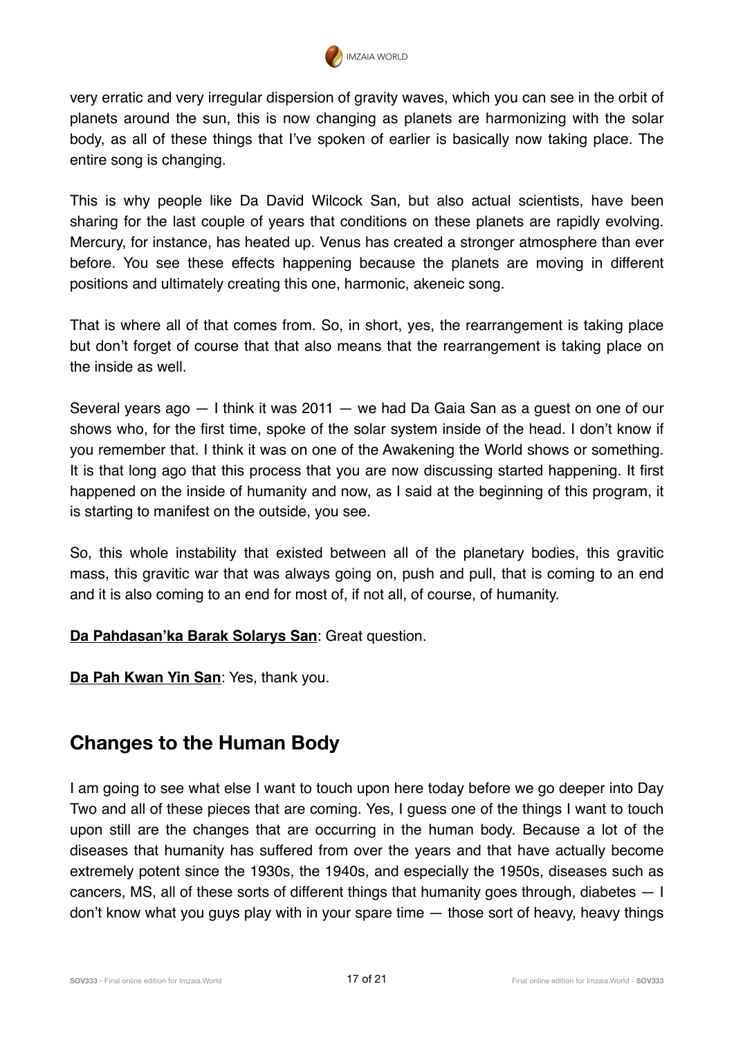

very erratic and very irregular dispersion of gravity waves, which you can see in the orbit of planets around the sun, this is now changing as planets are harmonizing with the solar body, as all of these things that I've spoken of earlier is basically now taking place. The entire song is changing.

This is why people like Da David Wilcock San, but also actual scientists, have been sharing for the last couple of years that conditions on these planets are rapidly evolving. Mercury, for instance, has heated up. Venus has created a stronger atmosphere than ever before. You see these effects happening because the planets are moving in different positions and ultimately creating this one, harmonic, akeneic song.

That is where all of that comes from. So, in short, yes, the rearrangement is taking place but don't forget of course that that also means that the rearrangement is taking place on the inside as well.

Several years ago — I think it was 2011 — we had Da Gaia San as a guest on one of our shows who, for the first time, spoke of the solar system inside of the head. I don't know if you remember that. I think it was on one of the Awakening the World shows or something. It is that long ago that this process that you are now discussing started happening. It first happened on the inside of humanity and now, as I said at the beginning of this program, it is starting to manifest on the outside, you see.

So, this whole instability that existed between all of the planetary bodies, this gravitic mass, this gravitic war that was always going on, push and pull, that is coming to an end and it is also coming to an end for most of, if not all, of course, of humanity.

**Da Pahdasan'ka Barak Solarys San**: Great question.

**Da Pah Kwan Yin San**: Yes, thank you.

## **Changes to the Human Body**

I am going to see what else I want to touch upon here today before we go deeper into Day Two and all of these pieces that are coming. Yes, I guess one of the things I want to touch upon still are the changes that are occurring in the human body. Because a lot of the diseases that humanity has suffered from over the years and that have actually become extremely potent since the 1930s, the 1940s, and especially the 1950s, diseases such as cancers, MS, all of these sorts of different things that humanity goes through, diabetes — I don't know what you guys play with in your spare time — those sort of heavy, heavy things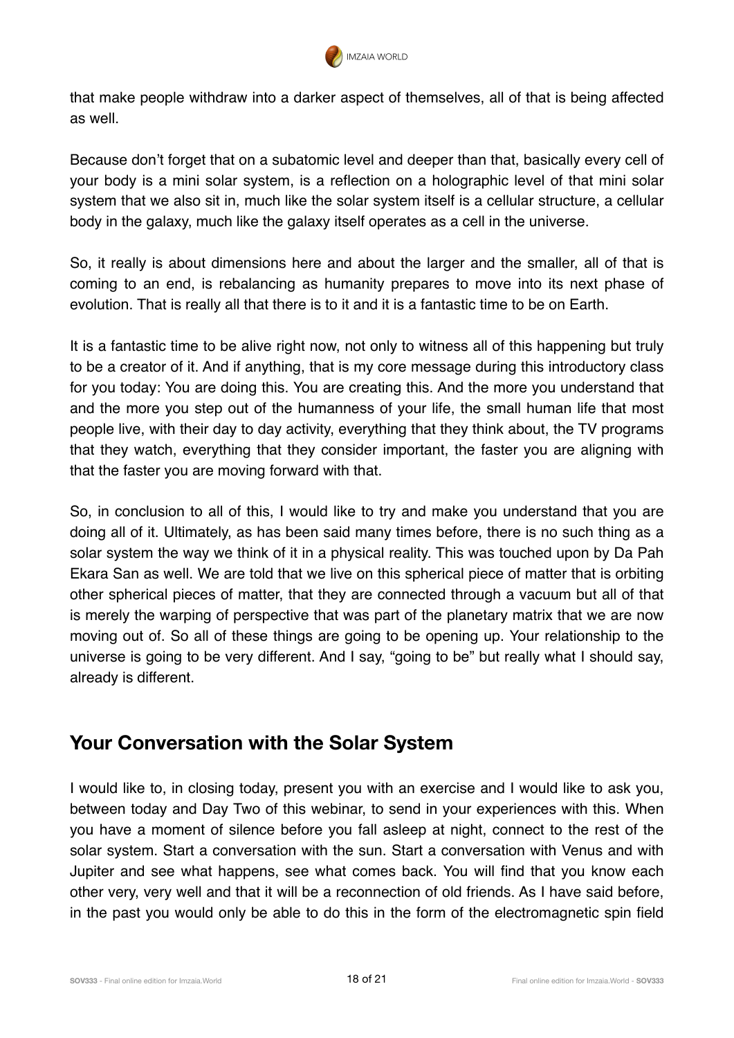

that make people withdraw into a darker aspect of themselves, all of that is being affected as well.

Because don't forget that on a subatomic level and deeper than that, basically every cell of your body is a mini solar system, is a reflection on a holographic level of that mini solar system that we also sit in, much like the solar system itself is a cellular structure, a cellular body in the galaxy, much like the galaxy itself operates as a cell in the universe.

So, it really is about dimensions here and about the larger and the smaller, all of that is coming to an end, is rebalancing as humanity prepares to move into its next phase of evolution. That is really all that there is to it and it is a fantastic time to be on Earth.

It is a fantastic time to be alive right now, not only to witness all of this happening but truly to be a creator of it. And if anything, that is my core message during this introductory class for you today: You are doing this. You are creating this. And the more you understand that and the more you step out of the humanness of your life, the small human life that most people live, with their day to day activity, everything that they think about, the TV programs that they watch, everything that they consider important, the faster you are aligning with that the faster you are moving forward with that.

So, in conclusion to all of this, I would like to try and make you understand that you are doing all of it. Ultimately, as has been said many times before, there is no such thing as a solar system the way we think of it in a physical reality. This was touched upon by Da Pah Ekara San as well. We are told that we live on this spherical piece of matter that is orbiting other spherical pieces of matter, that they are connected through a vacuum but all of that is merely the warping of perspective that was part of the planetary matrix that we are now moving out of. So all of these things are going to be opening up. Your relationship to the universe is going to be very different. And I say, "going to be" but really what I should say, already is different.

## **Your Conversation with the Solar System**

I would like to, in closing today, present you with an exercise and I would like to ask you, between today and Day Two of this webinar, to send in your experiences with this. When you have a moment of silence before you fall asleep at night, connect to the rest of the solar system. Start a conversation with the sun. Start a conversation with Venus and with Jupiter and see what happens, see what comes back. You will find that you know each other very, very well and that it will be a reconnection of old friends. As I have said before, in the past you would only be able to do this in the form of the electromagnetic spin field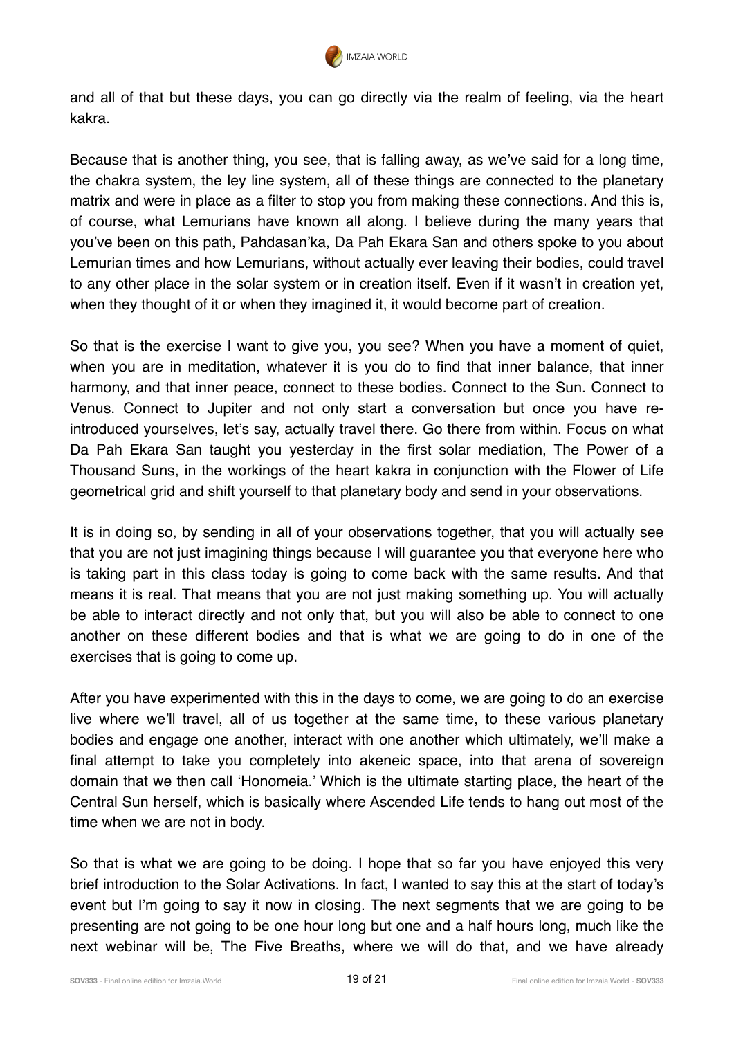

and all of that but these days, you can go directly via the realm of feeling, via the heart kakra.

Because that is another thing, you see, that is falling away, as we've said for a long time, the chakra system, the ley line system, all of these things are connected to the planetary matrix and were in place as a filter to stop you from making these connections. And this is, of course, what Lemurians have known all along. I believe during the many years that you've been on this path, Pahdasan'ka, Da Pah Ekara San and others spoke to you about Lemurian times and how Lemurians, without actually ever leaving their bodies, could travel to any other place in the solar system or in creation itself. Even if it wasn't in creation yet, when they thought of it or when they imagined it, it would become part of creation.

So that is the exercise I want to give you, you see? When you have a moment of quiet, when you are in meditation, whatever it is you do to find that inner balance, that inner harmony, and that inner peace, connect to these bodies. Connect to the Sun. Connect to Venus. Connect to Jupiter and not only start a conversation but once you have reintroduced yourselves, let's say, actually travel there. Go there from within. Focus on what Da Pah Ekara San taught you yesterday in the first solar mediation, The Power of a Thousand Suns, in the workings of the heart kakra in conjunction with the Flower of Life geometrical grid and shift yourself to that planetary body and send in your observations.

It is in doing so, by sending in all of your observations together, that you will actually see that you are not just imagining things because I will guarantee you that everyone here who is taking part in this class today is going to come back with the same results. And that means it is real. That means that you are not just making something up. You will actually be able to interact directly and not only that, but you will also be able to connect to one another on these different bodies and that is what we are going to do in one of the exercises that is going to come up.

After you have experimented with this in the days to come, we are going to do an exercise live where we'll travel, all of us together at the same time, to these various planetary bodies and engage one another, interact with one another which ultimately, we'll make a final attempt to take you completely into akeneic space, into that arena of sovereign domain that we then call 'Honomeia.' Which is the ultimate starting place, the heart of the Central Sun herself, which is basically where Ascended Life tends to hang out most of the time when we are not in body.

So that is what we are going to be doing. I hope that so far you have enjoyed this very brief introduction to the Solar Activations. In fact, I wanted to say this at the start of today's event but I'm going to say it now in closing. The next segments that we are going to be presenting are not going to be one hour long but one and a half hours long, much like the next webinar will be, The Five Breaths, where we will do that, and we have already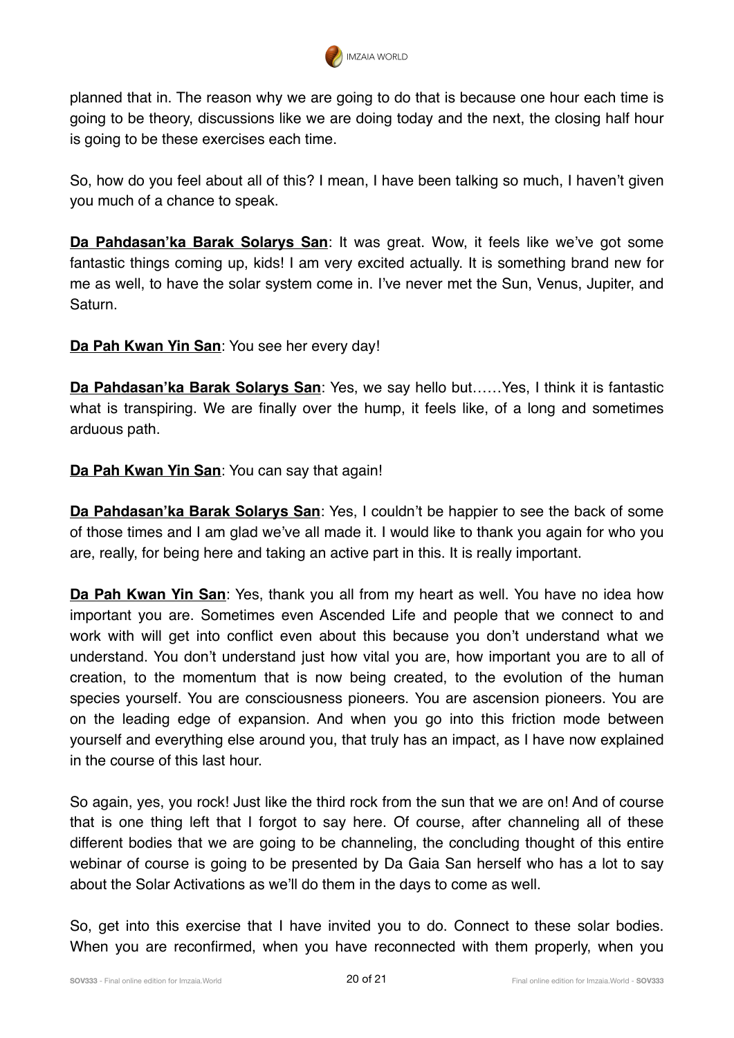

planned that in. The reason why we are going to do that is because one hour each time is going to be theory, discussions like we are doing today and the next, the closing half hour is going to be these exercises each time.

So, how do you feel about all of this? I mean, I have been talking so much, I haven't given you much of a chance to speak.

**Da Pahdasan'ka Barak Solarys San**: It was great. Wow, it feels like we've got some fantastic things coming up, kids! I am very excited actually. It is something brand new for me as well, to have the solar system come in. I've never met the Sun, Venus, Jupiter, and Saturn.

**Da Pah Kwan Yin San**: You see her every day!

**Da Pahdasan'ka Barak Solarys San**: Yes, we say hello but……Yes, I think it is fantastic what is transpiring. We are finally over the hump, it feels like, of a long and sometimes arduous path.

**Da Pah Kwan Yin San**: You can say that again!

**Da Pahdasan'ka Barak Solarys San**: Yes, I couldn't be happier to see the back of some of those times and I am glad we've all made it. I would like to thank you again for who you are, really, for being here and taking an active part in this. It is really important.

**Da Pah Kwan Yin San**: Yes, thank you all from my heart as well. You have no idea how important you are. Sometimes even Ascended Life and people that we connect to and work with will get into conflict even about this because you don't understand what we understand. You don't understand just how vital you are, how important you are to all of creation, to the momentum that is now being created, to the evolution of the human species yourself. You are consciousness pioneers. You are ascension pioneers. You are on the leading edge of expansion. And when you go into this friction mode between yourself and everything else around you, that truly has an impact, as I have now explained in the course of this last hour.

So again, yes, you rock! Just like the third rock from the sun that we are on! And of course that is one thing left that I forgot to say here. Of course, after channeling all of these different bodies that we are going to be channeling, the concluding thought of this entire webinar of course is going to be presented by Da Gaia San herself who has a lot to say about the Solar Activations as we'll do them in the days to come as well.

So, get into this exercise that I have invited you to do. Connect to these solar bodies. When you are reconfirmed, when you have reconnected with them properly, when you